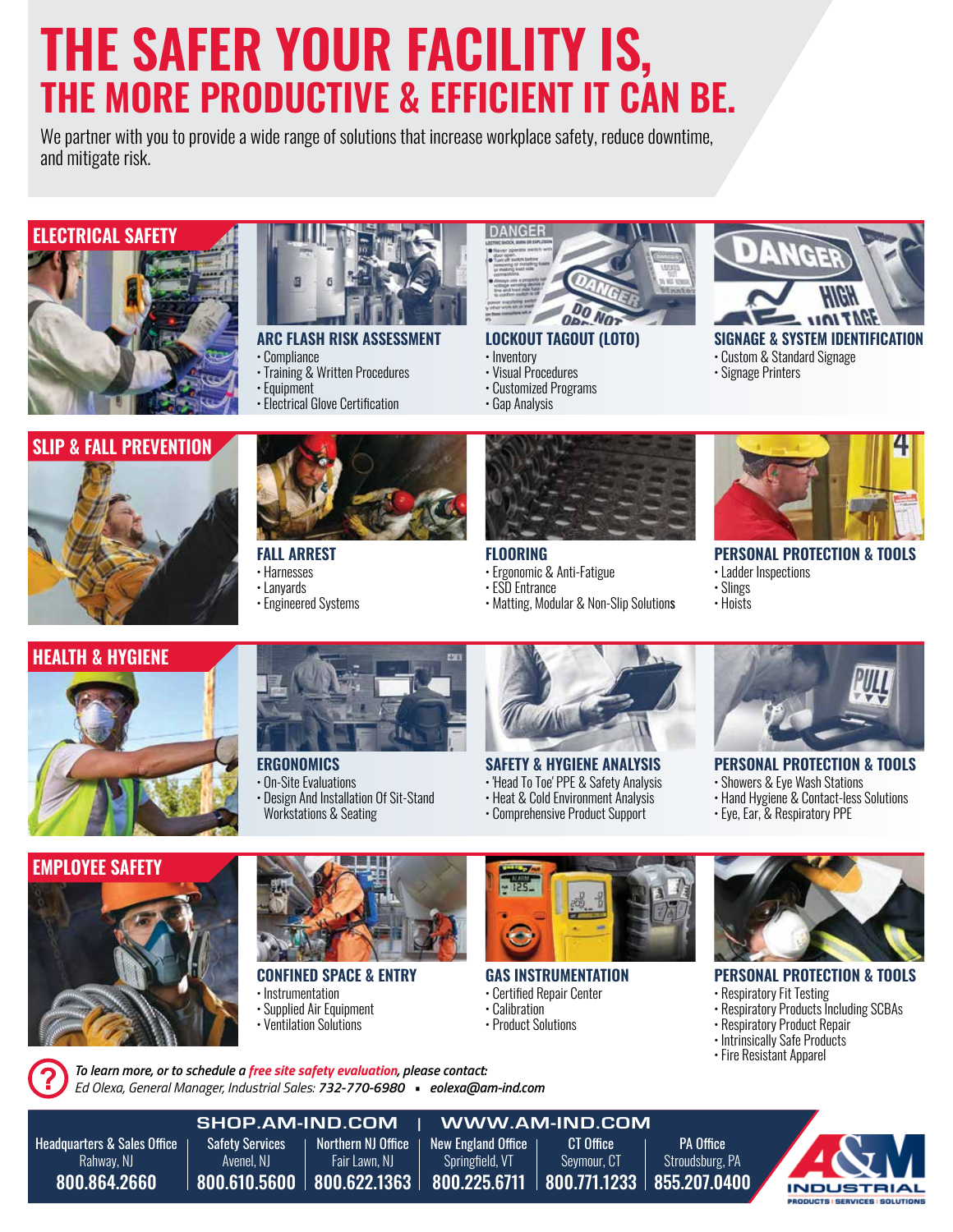## THE SAFER YOUR FACILITY IS, THE MORE PRODUCTIVE & EFFICIENT IT CAN BE.

We partner with you to provide a wide range of solutions that increase workplace safety, reduce downtime, and mitigate risk.

#### ELECTRICAL SAFETY





#### ARC FLASH RISK ASSESSMENT

- Compliance
- Training & Written Procedures
- Equipment
- Electrical Glove Certification



#### LOCKOUT TAGOUT (LOTO)

- Inventory
- Visual Procedures

FLOORING

• ESD Entrance

• Ergonomic & Anti-Fatigue

- Customized Programs
- 



SIGNAGE & SYSTEM IDENTIFICATION • Custom & Standard Signage

- Signage Printers
- 
- Gap Analysis



#### PERSONAL PROTECTION & TOOLS

- Ladder Inspections
- Slings
- Hoists



#### HEALTH & HYGIENE





#### **ERGONOMICS**

FALL ARREST • Harnesses • Lanyards

• Engineered Systems

- On-Site Evaluations
- Design And Installation Of Sit-Stand
- Workstations & Seating



• Matting, Modular & Non-Slip Solutions

#### SAFETY & HYGIENE ANALYSIS

- 'Head To Toe' PPE & Safety Analysis
- Heat & Cold Environment Analysis • Comprehensive Product Support
- 

#### PERSONAL PROTECTION & TOOLS

- Showers & Eye Wash Stations
- Hand Hygiene & Contact-less Solutions
- Eye, Ear, & Respiratory PPE





#### CONFINED SPACE & ENTRY

- Instrumentation
- Supplied Air Equipment • Ventilation Solutions

*Ed Olexa, General Manager, Industrial Sales: 732-770-6980 • eolexa@am-ind.com*

*To learn more, or to schedule a free site safety evaluation, please contact:* 



#### GAS INSTRUMENTATION

#### • Certified Repair Center

- Calibration
- Product Solutions



#### PERSONAL PROTECTION & TOOLS

- Respiratory Fit Testing
- Respiratory Products Including SCBAs
- Respiratory Product Repair
- Intrinsically Safe Products
- Fire Resistant Apparel

**SHOP.AM-IND.COM** | **WWW.AM-IND.COM** Headquarters & Sales Office Safety Services Northern NJ Office New England Office CT Office PA Office Rahway, NJ Avenel, NJ Fair Lawn, NJ Springfield, VT Seymour, CT Stroudsburg, PA 800.864.2660 800.610.5600 800.622.1363 800.225.6711 800.771.1233 855.207.0400 **PRODUCTS | SERVICES | SOLUTIONS**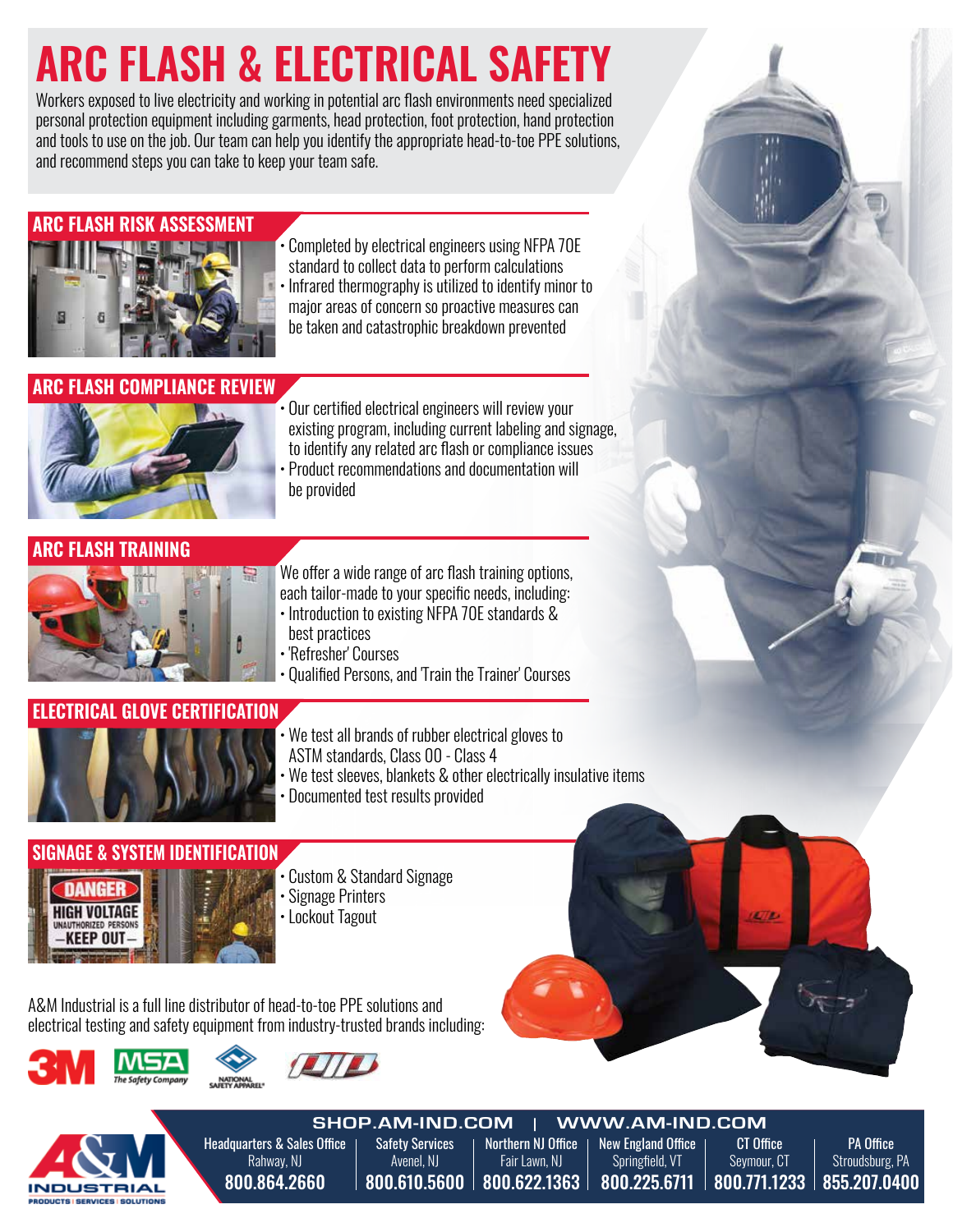## ARC FLASH & ELECTRICAL SAFETY

Workers exposed to live electricity and working in potential arc flash environments need specialized personal protection equipment including garments, head protection, foot protection, hand protection and tools to use on the job. Our team can help you identify the appropriate head-to-toe PPE solutions, and recommend steps you can take to keep your team safe.

#### ARC FLASH RISK ASSESSMENT



- Completed by electrical engineers using NFPA 70E standard to collect data to perform calculations
- Infrared thermography is utilized to identify minor to
	- major areas of concern so proactive measures can be taken and catastrophic breakdown prevented

#### ARC FLASH COMPLIANCE REVIEW



- Our certified electrical engineers will review your existing program, including current labeling and signage, to identify any related arc flash or compliance issues
- Product recommendations and documentation will be provided

#### ARC FLASH TRAINING



- We offer a wide range of arc flash training options, each tailor-made to your specific needs, including: • Introduction to existing NFPA 70E standards & best practices
- 'Refresher' Courses
- Qualified Persons, and 'Train the Trainer' Courses

#### **GLOVE CERTIFICATION**



- We test all brands of rubber electrical gloves to ASTM standards, Class 00 - Class 4
- We test sleeves, blankets & other electrically insulative items
- Documented test results provided

#### SIGNAGE & SYSTEM IDENT



- Custom & Standard Signage
- Signage Printers
- Lockout Tagout

A&M Industrial is a full line distributor of head-to-toe PPE solutions and electrical testing and safety equipment from industry-trusted brands including:







Headquarters & Sales Office Rahway, NJ 800.864.2660 Safety Services Avenel, NJ 800.610.5600 Northern NJ Office Fair Lawn, NJ 800.622.1363 New England Office Springfield, VT 800.225.6711 PA Office Stroudsburg, PA 855.207.0400 CT Office Seymour, CT 800.771.1233 **SHOP.AM-IND.COM** | **WWW.AM-IND.COM**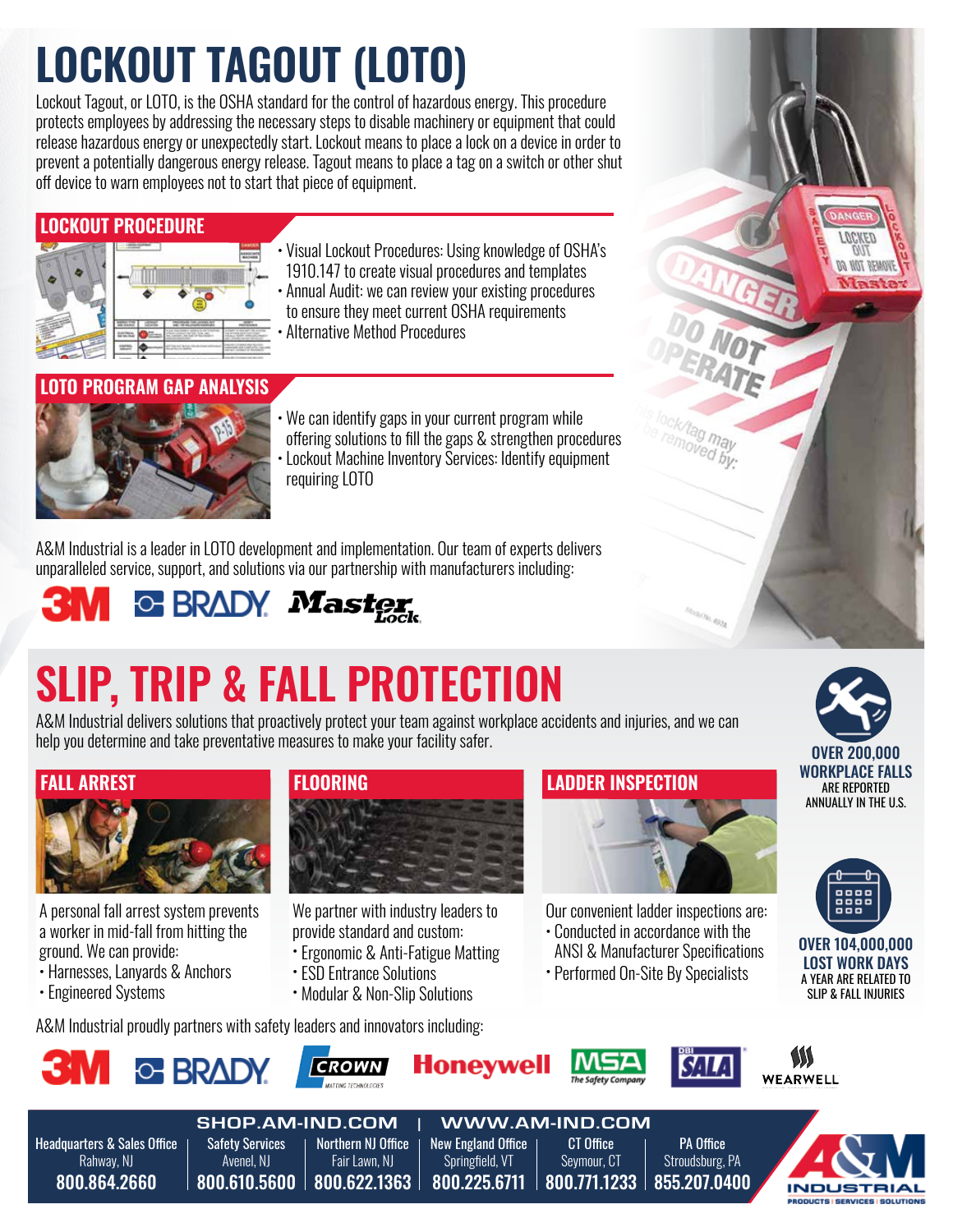## LOCKOUT TAGOUT (LOTO)

Lockout Tagout, or LOTO, is the OSHA standard for the control of hazardous energy. This procedure protects employees by addressing the necessary steps to disable machinery or equipment that could release hazardous energy or unexpectedly start. Lockout means to place a lock on a device in order to prevent a potentially dangerous energy release. Tagout means to place a tag on a switch or other shut off device to warn employees not to start that piece of equipment.

#### LOCKOUT PROCEDURE



- Visual Lockout Procedures: Using knowledge of OSHA's 1910.147 to create visual procedures and templates
- Annual Audit: we can review your existing procedures to ensure they meet current OSHA requirements • Alternative Method Procedures

#### IN PROGRAM GAP ANALYSIS



• We can identify gaps in your current program while offering solutions to fill the gaps & strengthen procedures Lockout Machine Inventory Services: Identify equipment requiring LOTO

A&M Industrial is a leader in LOTO development and implementation. Our team of experts delivers unparalleled service, support, and solutions via our partnership with manufacturers including:

## **C BRADY Master**

## SLIP, TRIP & FALL PROTECTION

A&M Industrial delivers solutions that proactively protect your team against workplace accidents and injuries, and we can help you determine and take preventative measures to make your facility safer.



A personal fall arrest system prevents a worker in mid-fall from hitting the ground. We can provide:

- Harnesses, Lanyards & Anchors
- Engineered Systems

800.864.2660



We partner with industry leaders to provide standard and custom:

- Ergonomic & Anti-Fatigue Matting
- ESD Entrance Solutions
- Modular & Non-Slip Solutions

A&M Industrial proudly partners with safety leaders and innovators including:

800.610.5600 800.622.1363

# LADDER INSPECTION

Our convenient ladder inspections are:

- Conducted in accordance with the ANSI & Manufacturer Specifications
- Performed On-Site By Specialists

800.771.1233

855.207.0400





**BODUCTS | SERVICES** 



800.225.6711